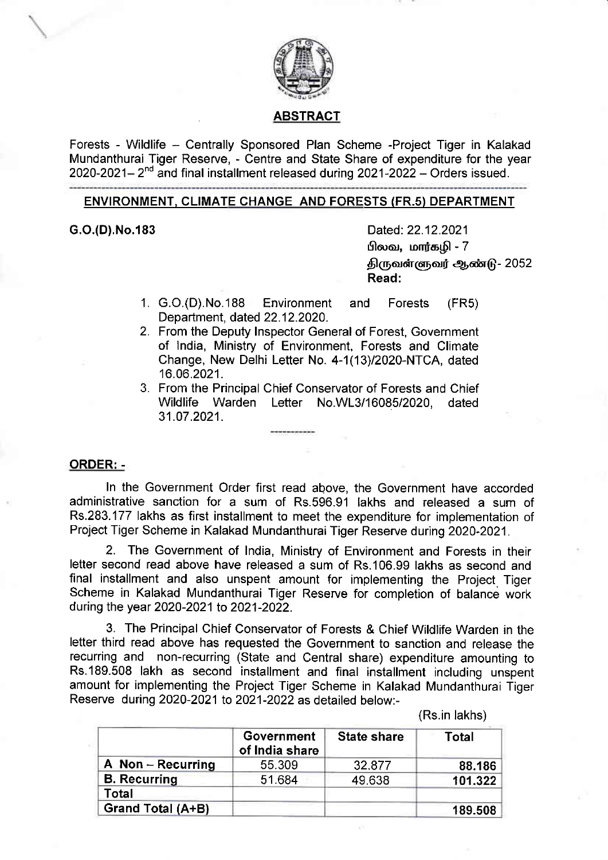

# ABSTRACT

Forests - Wildlife - Centrally Sponsored Plan Scheme -Project Tiger in Kalakad Mundanthurai Tiger Reserve, - Centre and State Share of expenditure for the year 2020-2021— 2<sup>nd</sup> and final installment released during 2021-2022 — Orders issued

# ENVIRONMENT. CLIMATE GHANGE AND FORESTS (FR.s) DEPARTMENT

G.O.(D).No.183 Daled:22.12.2021  $\Omega$ லவ. மார்கமி -  $7$ கிருவள்ளுவர் ஆண்டு- 2052 Read:

- 1. G.O.(D).No.188 Environment and Department, dated 22.12.2020. Forests (FRs)
- 2. From the Deputy Inspector General of Forest, Governmen of lndia, Ministry of Environment, Forests and Climate Change, New Delhi Letter No. 4-1(13)/2020-NTCA, dated 16.06.2021.
- 3. From the Principal Chief Conservator of Forests and Chief Wildlife Warden Letter No.WL3/16085/2020, dated 31.07 .2021.

#### ORDER: -

ln the Government Order first read above, the Government have accorded administrative sanction for a sum of Rs.596.91 lakhs and released a sum of Rs.283.177 lakhs as first installment to meet the expenditure for implementation of Project Tiger Scheme in Kalakad Mundanthurai Tiger Reserve during 2020-2021 .

2. The Government of lndia, Ministry of Environment and Forests in their letter second read above have released a sum of Rs.106.99 lakhs as second and final installment and also unspent amount for implementing the Project Tiger Scheme in Kalakad Mundanthurai Tiger Reserve for completion of balance work during the year 2020-2021 to 2021-2022.

3. The Principal Chief Conservator of Forests & Chief Wildlife Warden in the letter third read above has requested the Government to sanction and release the recurring and non-recurring (State and Central share) expenditure amounting to Rs.189.508 lakh as second installment and final installment including unspent amount for implementing the Project Tiger Scheme in Kalakad Mundanthurai Tiger Reserve during 2020-2021 to 2021-2022 as detailed below:-

|                          | <b>Government</b><br>of India share | <b>State share</b> | Total   |
|--------------------------|-------------------------------------|--------------------|---------|
| A Non-Recurring          | 55.309                              | 32.877             | 88.186  |
| <b>B.</b> Recurring      | 51.684                              | 49.638             | 101.322 |
| Total                    |                                     |                    |         |
| <b>Grand Total (A+B)</b> |                                     |                    | 189.508 |

(Rs.in lakhs)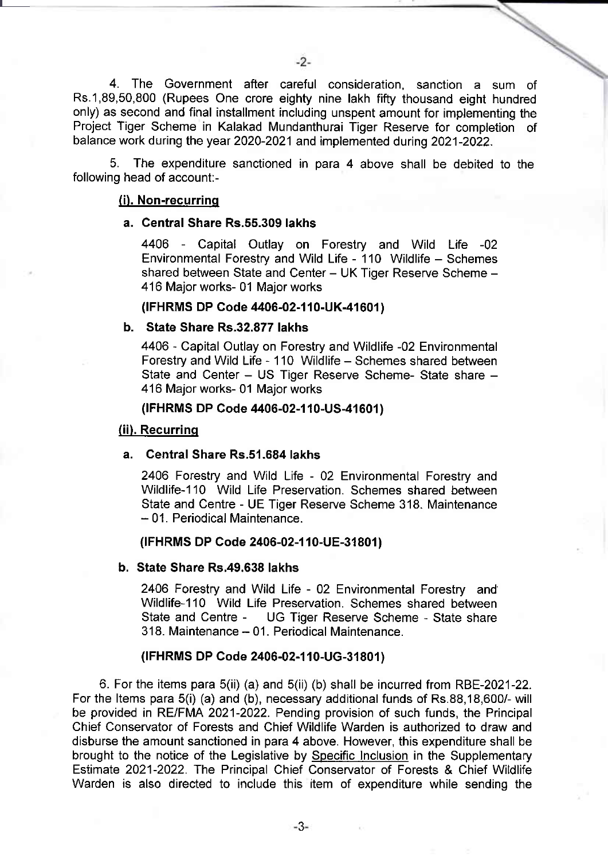4. The Government after careful consideration, sanction a sum of Rs.1,89,50,800 (Rupees One crore eighty nine lakh fifty thousand eight hundred only) as second and final installment including unspent amount for implementing the Project Tiger Scheme in Kalakad Mundanthurai Tiger Reserve for completion of balance work during the year 2020-2021 and implemented during 2021-2022.

5. The expenditure sanctioned in para 4 above shall be debiied to the following head of account:-

# ( i). Non-recurrinq

## a. Central Share Rs.55.309 lakhs

4406 - Capital Outlay on Forestry and Wild Life -02 Environmental Forestry and Wild Life - 110 Wildlife - Schemes shared between State and Center - UK Tiger Reserve Scheme -416 Major works- 01 Major works

# (IFHRMS DP Gode 4406-02-110-UK-41601 )

# b. State Share Rs.32.877 lakhs

4406 - Capital Outlay on Forestry and Wildlife -02 Environmental Forestry and Wild Life - 110 Wildlife - Schemes shared between State and Center - US Tiger Reserve Scheme- State share -416 Major works- 01 Major works

# (IFHRMS DP Code 4406-02-1 10-US-41601)

### ( ii). Recurrinq

# a. Central Share Rs.51.684 lakhs

2406 Forestry and Wild Life - 02 Environmental Forestry and Wlldlife-110 Wild Life Preservation. Schemes shared between State and Centre - UE Tiger Reserve Scheme 318. Maintenance - 01. Periodical Maintenance.

# (IFHRMS DP Code 2406-02-1 10-UE-31801)

#### b. State Share Rs.49.638 lakhs

2406 Forestry and Wild Life - 02 Environmental Forestry and Wildlife-1 10 Wild Life Preservation. Schemes shared between State and Centre - UG Tiger Reserve Scheme - State share 318. Maintenance - 01 . Periodical Maintenance.

# (IFHRMS DP Code 2406-02-110-UG-31801)

6. For the items para  $5(ii)$  (a) and  $5(ii)$  (b) shall be incurred from RBE-2021-22. For the ltems para 5(i) (a) and (b), necessary additional funds of Rs.88,18,600/- will be provided in RE/FMA 2021-2022. Pending provision of such funds, the Principal Chief Conservator of Forests and Chief Wildlife Warden is authorized to draw and disburse the amount sanctioned in para 4 above. However, this expenditure shall be brought to the notice of the Legislative by Specific lnclusion in the Supplementary Estimate 2021-2022. The Principal Chief Conservator of Forests & Chief Wildlife Warden is also directed to include this item of expenditure while sending the